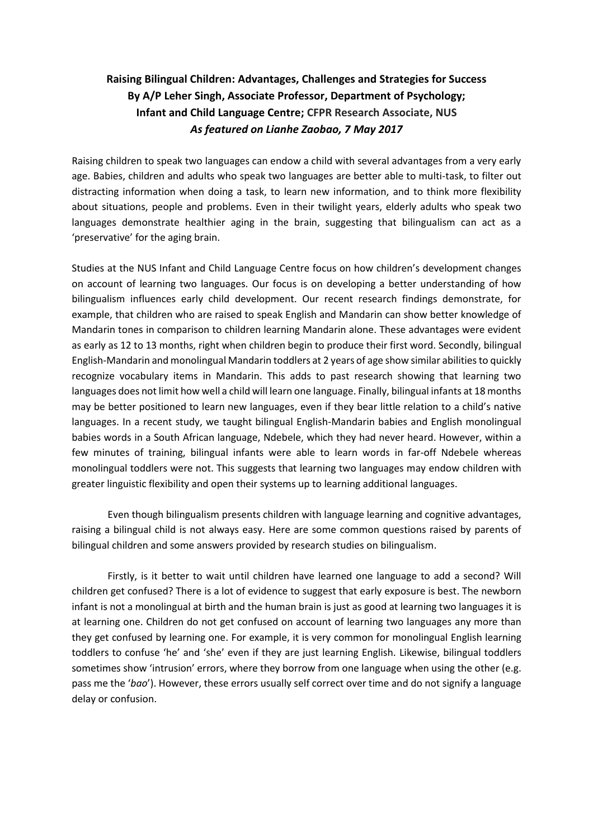## **Raising Bilingual Children: Advantages, Challenges and Strategies for Success By A/P Leher Singh, Associate Professor, Department of Psychology; Infant and Child Language Centre; CFPR Research Associate, NUS** *As featured on Lianhe Zaobao, 7 May 2017*

Raising children to speak two languages can endow a child with several advantages from a very early age. Babies, children and adults who speak two languages are better able to multi-task, to filter out distracting information when doing a task, to learn new information, and to think more flexibility about situations, people and problems. Even in their twilight years, elderly adults who speak two languages demonstrate healthier aging in the brain, suggesting that bilingualism can act as a 'preservative' for the aging brain.

Studies at the NUS Infant and Child Language Centre focus on how children's development changes on account of learning two languages. Our focus is on developing a better understanding of how bilingualism influences early child development. Our recent research findings demonstrate, for example, that children who are raised to speak English and Mandarin can show better knowledge of Mandarin tones in comparison to children learning Mandarin alone. These advantages were evident as early as 12 to 13 months, right when children begin to produce their first word. Secondly, bilingual English-Mandarin and monolingual Mandarin toddlers at 2 years of age show similar abilities to quickly recognize vocabulary items in Mandarin. This adds to past research showing that learning two languages does not limit how well a child will learn one language. Finally, bilingual infants at 18 months may be better positioned to learn new languages, even if they bear little relation to a child's native languages. In a recent study, we taught bilingual English-Mandarin babies and English monolingual babies words in a South African language, Ndebele, which they had never heard. However, within a few minutes of training, bilingual infants were able to learn words in far-off Ndebele whereas monolingual toddlers were not. This suggests that learning two languages may endow children with greater linguistic flexibility and open their systems up to learning additional languages.

Even though bilingualism presents children with language learning and cognitive advantages, raising a bilingual child is not always easy. Here are some common questions raised by parents of bilingual children and some answers provided by research studies on bilingualism.

Firstly, is it better to wait until children have learned one language to add a second? Will children get confused? There is a lot of evidence to suggest that early exposure is best. The newborn infant is not a monolingual at birth and the human brain is just as good at learning two languages it is at learning one. Children do not get confused on account of learning two languages any more than they get confused by learning one. For example, it is very common for monolingual English learning toddlers to confuse 'he' and 'she' even if they are just learning English. Likewise, bilingual toddlers sometimes show 'intrusion' errors, where they borrow from one language when using the other (e.g. pass me the '*bao*'). However, these errors usually self correct over time and do not signify a language delay or confusion.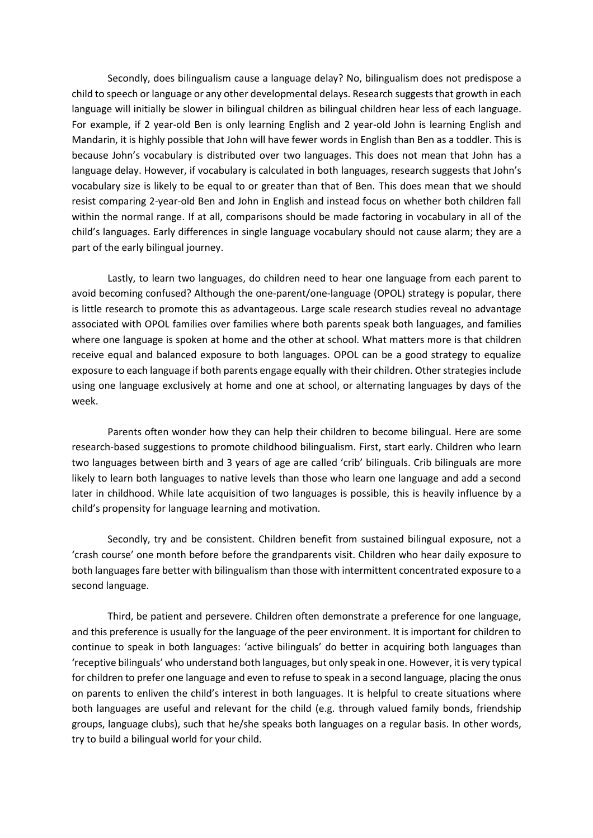Secondly, does bilingualism cause a language delay? No, bilingualism does not predispose a child to speech or language or any other developmental delays. Research suggests that growth in each language will initially be slower in bilingual children as bilingual children hear less of each language. For example, if 2 year-old Ben is only learning English and 2 year-old John is learning English and Mandarin, it is highly possible that John will have fewer words in English than Ben as a toddler. This is because John's vocabulary is distributed over two languages. This does not mean that John has a language delay. However, if vocabulary is calculated in both languages, research suggests that John's vocabulary size is likely to be equal to or greater than that of Ben. This does mean that we should resist comparing 2-year-old Ben and John in English and instead focus on whether both children fall within the normal range. If at all, comparisons should be made factoring in vocabulary in all of the child's languages. Early differences in single language vocabulary should not cause alarm; they are a part of the early bilingual journey.

Lastly, to learn two languages, do children need to hear one language from each parent to avoid becoming confused? Although the one-parent/one-language (OPOL) strategy is popular, there is little research to promote this as advantageous. Large scale research studies reveal no advantage associated with OPOL families over families where both parents speak both languages, and families where one language is spoken at home and the other at school. What matters more is that children receive equal and balanced exposure to both languages. OPOL can be a good strategy to equalize exposure to each language if both parents engage equally with their children. Other strategies include using one language exclusively at home and one at school, or alternating languages by days of the week.

Parents often wonder how they can help their children to become bilingual. Here are some research-based suggestions to promote childhood bilingualism. First, start early. Children who learn two languages between birth and 3 years of age are called 'crib' bilinguals. Crib bilinguals are more likely to learn both languages to native levels than those who learn one language and add a second later in childhood. While late acquisition of two languages is possible, this is heavily influence by a child's propensity for language learning and motivation.

Secondly, try and be consistent. Children benefit from sustained bilingual exposure, not a 'crash course' one month before before the grandparents visit. Children who hear daily exposure to both languages fare better with bilingualism than those with intermittent concentrated exposure to a second language.

Third, be patient and persevere. Children often demonstrate a preference for one language, and this preference is usually for the language of the peer environment. It is important for children to continue to speak in both languages: 'active bilinguals' do better in acquiring both languages than 'receptive bilinguals' who understand both languages, but only speak in one. However, it is very typical for children to prefer one language and even to refuse to speak in a second language, placing the onus on parents to enliven the child's interest in both languages. It is helpful to create situations where both languages are useful and relevant for the child (e.g. through valued family bonds, friendship groups, language clubs), such that he/she speaks both languages on a regular basis. In other words, try to build a bilingual world for your child.